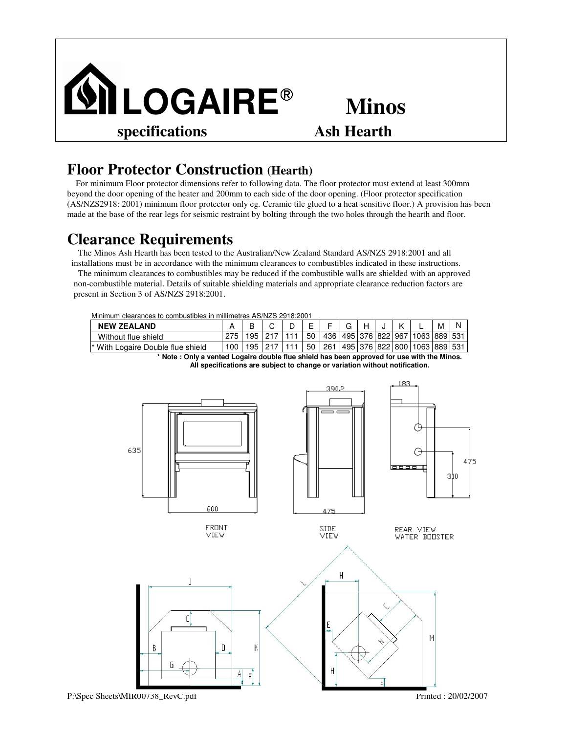

## **Minos**

## **Floor Protector Construction (Hearth)**

For minimum Floor protector dimensions refer to following data. The floor protector must extend at least 300mm beyond the door opening of the heater and 200mm to each side of the door opening. (Floor protector specification (AS/NZS2918: 2001) minimum floor protector only eg. Ceramic tile glued to a heat sensitive floor.) A provision has been made at the base of the rear legs for seismic restraint by bolting through the two holes through the hearth and floor.

## **Clearance Requirements**

The Minos Ash Hearth has been tested to the Australian/New Zealand Standard AS/NZS 2918:2001 and all installations must be in accordance with the minimum clearances to combustibles indicated in these instructions. The minimum clearances to combustibles may be reduced if the combustible walls are shielded with an approved non-combustible material. Details of suitable shielding materials and appropriate clearance reduction factors are present in Section 3 of AS/NZS 2918:2001.

|  |  | Minimum clearances to combustibles in millimetres AS/NZS 2918:2001 |
|--|--|--------------------------------------------------------------------|
|  |  |                                                                    |

| <b>NEW ZEALAND</b>                    |  |    |  |    |     |                       |  |                              | м       |  |
|---------------------------------------|--|----|--|----|-----|-----------------------|--|------------------------------|---------|--|
| Without flue shield                   |  | 95 |  | 50 | 436 | 495   376   822   967 |  | 1063                         | 8891531 |  |
| l* With<br>Logaire Double flue shield |  | 95 |  | 50 | 261 |                       |  | 495   376   822   800   1063 | 8891531 |  |

**\* Note : Only a vented Logaire double flue shield has been approved for use with the Minos. All specifications are subject to change or variation without notification.**